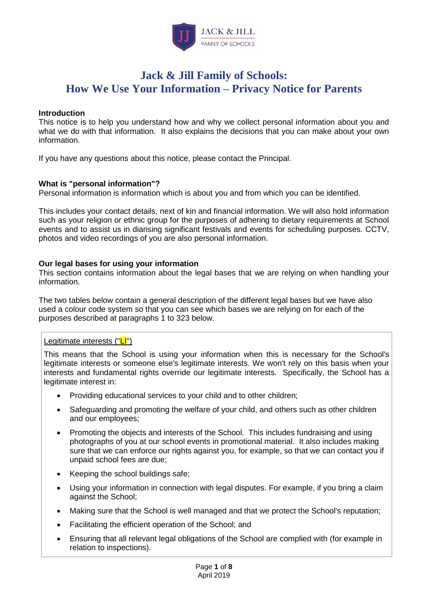

# **Jack & Jill Family of Schools: How We Use Your Information – Privacy Notice for Parents**

### **Introduction**

This notice is to help you understand how and why we collect personal information about you and what we do with that information. It also explains the decisions that you can make about your own information.

If you have any questions about this notice, please contact the Principal.

### **What is "personal information"?**

Personal information is information which is about you and from which you can be identified.

This includes your contact details, next of kin and financial information. We will also hold information such as your religion or ethnic group for the purposes of adhering to dietary requirements at School events and to assist us in diarising significant festivals and events for scheduling purposes. CCTV, photos and video recordings of you are also personal information.

### **Our legal bases for using your information**

This section contains information about the legal bases that we are relying on when handling your information.

The two tables below contain a general description of the different legal bases but we have also used a colour code system so that you can see which bases we are relying on for each of the purposes described at paragraphs 1 to [323](#page-5-0) below.

### Legitimate interests ("LI")

This means that the School is using your information when this is necessary for the School's legitimate interests or someone else's legitimate interests. We won't rely on this basis when your interests and fundamental rights override our legitimate interests. Specifically, the School has a legitimate interest in:

- Providing educational services to your child and to other children;
- Safeguarding and promoting the welfare of your child, and others such as other children and our employees;
- Promoting the objects and interests of the School. This includes fundraising and using photographs of you at our school events in promotional material. It also includes making sure that we can enforce our rights against you, for example, so that we can contact you if unpaid school fees are due;
- Keeping the school buildings safe;
- Using your information in connection with legal disputes. For example, if you bring a claim against the School;
- Making sure that the School is well managed and that we protect the School's reputation;
- Facilitating the efficient operation of the School; and
- Ensuring that all relevant legal obligations of the School are complied with (for example in relation to inspections).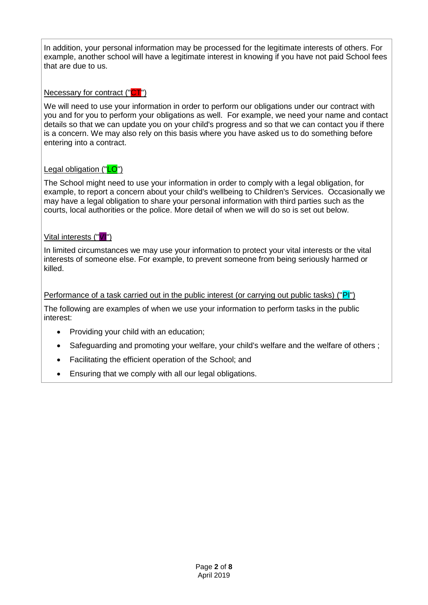In addition, your personal information may be processed for the legitimate interests of others. For example, another school will have a legitimate interest in knowing if you have not paid School fees that are due to us.

Necessary for contract ("CT")

We will need to use your information in order to perform our obligations under our contract with you and for you to perform your obligations as well. For example, we need your name and contact details so that we can update you on your child's progress and so that we can contact you if there is a concern. We may also rely on this basis where you have asked us to do something before entering into a contract.

# Legal obligation ("LO")

The School might need to use your information in order to comply with a legal obligation, for example, to report a concern about your child's wellbeing to Children's Services. Occasionally we may have a legal obligation to share your personal information with third parties such as the courts, local authorities or the police. More detail of when we will do so is set out below.

# Vital interests ("VI")

In limited circumstances we may use your information to protect your vital interests or the vital interests of someone else. For example, to prevent someone from being seriously harmed or killed.

# Performance of a task carried out in the public interest (or carrying out public tasks) ("PI")

The following are examples of when we use your information to perform tasks in the public interest:

- Providing your child with an education;
- Safeguarding and promoting your welfare, your child's welfare and the welfare of others;
- Facilitating the efficient operation of the School; and
- Ensuring that we comply with all our legal obligations.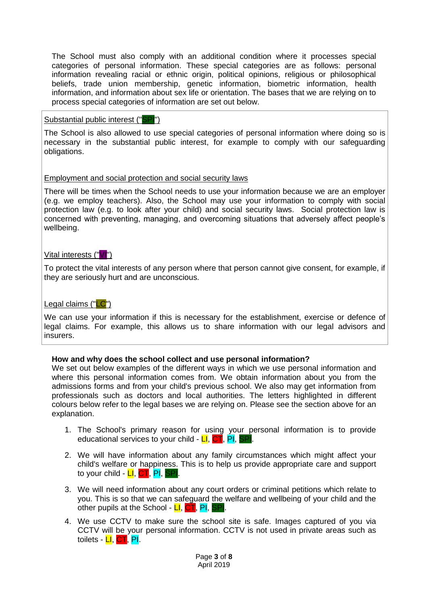The School must also comply with an additional condition where it processes special categories of personal information. These special categories are as follows: personal information revealing racial or ethnic origin, political opinions, religious or philosophical beliefs, trade union membership, genetic information, biometric information, health information, and information about sex life or orientation. The bases that we are relying on to process special categories of information are set out below.

### Substantial public interest ("SPI")

The School is also allowed to use special categories of personal information where doing so is necessary in the substantial public interest, for example to comply with our safeguarding obligations.

### Employment and social protection and social security laws

There will be times when the School needs to use your information because we are an employer (e.g. we employ teachers). Also, the School may use your information to comply with social protection law (e.g. to look after your child) and social security laws. Social protection law is concerned with preventing, managing, and overcoming situations that adversely affect people's wellbeing.

# Vital interests ("VI")

To protect the vital interests of any person where that person cannot give consent, for example, if they are seriously hurt and are unconscious.

# Legal claims ("LC")

We can use your information if this is necessary for the establishment, exercise or defence of legal claims. For example, this allows us to share information with our legal advisors and insurers.

# **How and why does the school collect and use personal information?**

We set out below examples of the different ways in which we use personal information and where this personal information comes from. We obtain information about you from the admissions forms and from your child's previous school. We also may get information from professionals such as doctors and local authorities. The letters highlighted in different colours below refer to the legal bases we are relying on. Please see the section above for an explanation.

- 1. The School's primary reason for using your personal information is to provide educational services to your child -  $LI$ ,  $CT$ ,  $PI$ , SF
- 2. We will have information about any family circumstances which might affect your child's welfare or happiness. This is to help us provide appropriate care and support to your child - **LI, CT, PI, SP**
- 3. We will need information about any court orders or criminal petitions which relate to you. This is so that we can safeguard the welfare and wellbeing of your child and the other pupils at the School -  $LI$ ,  $CT$ , PI,  $\parallel$
- 4. We use CCTV to make sure the school site is safe. Images captured of you via CCTV will be your personal information. CCTV is not used in private areas such as toilets - LI, CT, PI.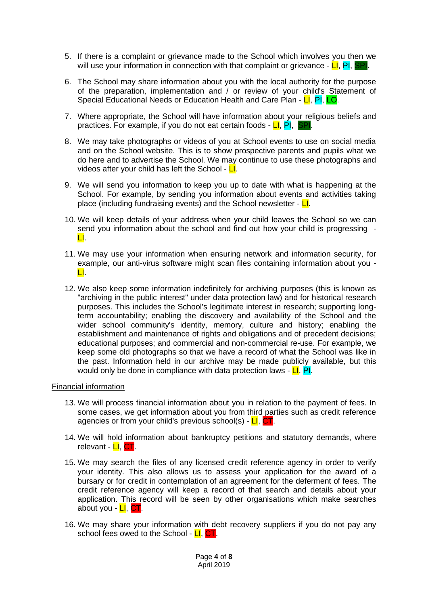- 5. If there is a complaint or grievance made to the School which involves you then we will use your information in connection with that complaint or grievance -  $LI$ , PI, SPI.
- 6. The School may share information about you with the local authority for the purpose of the preparation, implementation and / or review of your child's Statement of Special Educational Needs or Education Health and Care Plan - LI, PI, LO.
- 7. Where appropriate, the School will have information about your religious beliefs and practices. For example, if you do not eat certain foods - LI, PI, SPI
- 8. We may take photographs or videos of you at School events to use on social media and on the School website. This is to show prospective parents and pupils what we do here and to advertise the School. We may continue to use these photographs and videos after your child has left the School -  $L$ .
- 9. We will send you information to keep you up to date with what is happening at the School. For example, by sending you information about events and activities taking place (including fundraising events) and the School newsletter  $\overline{\mathsf{L}}$ .
- 10. We will keep details of your address when your child leaves the School so we can send you information about the school and find out how your child is progressing - LI.
- 11. We may use your information when ensuring network and information security, for example, our anti-virus software might scan files containing information about you - LI.
- 12. We also keep some information indefinitely for archiving purposes (this is known as "archiving in the public interest" under data protection law) and for historical research purposes. This includes the School's legitimate interest in research; supporting longterm accountability; enabling the discovery and availability of the School and the wider school community's identity, memory, culture and history; enabling the establishment and maintenance of rights and obligations and of precedent decisions; educational purposes; and commercial and non-commercial re-use. For example, we keep some old photographs so that we have a record of what the School was like in the past. Information held in our archive may be made publicly available, but this would only be done in compliance with data protection laws - LI, PI.

#### Financial information

- 13. We will process financial information about you in relation to the payment of fees. In some cases, we get information about you from third parties such as credit reference agencies or from your child's previous school(s) - LI, CT.
- 14. We will hold information about bankruptcy petitions and statutory demands, where relevant - LI, CT.
- 15. We may search the files of any licensed credit reference agency in order to verify your identity. This also allows us to assess your application for the award of a bursary or for credit in contemplation of an agreement for the deferment of fees. The credit reference agency will keep a record of that search and details about your application. This record will be seen by other organisations which make searches about you - LI, CT.
- 16. We may share your information with debt recovery suppliers if you do not pay any school fees owed to the School - LI, CT.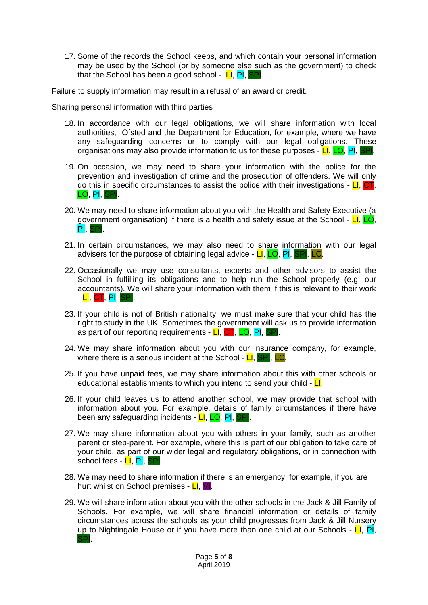17. Some of the records the School keeps, and which contain your personal information may be used by the School (or by someone else such as the government) to check that the School has been a good school -  $LI$ ,  $PI$ , SPI.

Failure to supply information may result in a refusal of an award or credit.

Sharing personal information with third parties

- 18. In accordance with our legal obligations, we will share information with local authorities, Ofsted and the Department for Education, for example, where we have any safeguarding concerns or to comply with our legal obligations. These organisations may also provide information to us for these purposes - LI, LO, PI, SPI.
- 19. On occasion, we may need to share your information with the police for the prevention and investigation of crime and the prosecution of offenders. We will only do this in specific circumstances to assist the police with their investigations -  $LI$ , CT, LO, PI, SPI.
- 20. We may need to share information about you with the Health and Safety Executive (a government organisation) if there is a health and safety issue at the School -  $LI$ , LO, PI, SPI.
- 21. In certain circumstances, we may also need to share information with our legal advisers for the purpose of obtaining legal advice -  $LI$ ,  $LO$ ,  $PI$ , SPI, LC.
- 22. Occasionally we may use consultants, experts and other advisors to assist the School in fulfilling its obligations and to help run the School properly (e.g. our accountants). We will share your information with them if this is relevant to their work - <mark>LI, CT</mark>, PI, SF
- 23. If your child is not of British nationality, we must make sure that your child has the right to study in the UK. Sometimes the government will ask us to provide information as part of our reporting requirements - LI, CT, LO, PI, SPI.
- 24. We may share information about you with our insurance company, for example, where there is a serious incident at the School -  $LI$ , SPI, LC.
- 25. If you have unpaid fees, we may share information about this with other schools or educational establishments to which you intend to send your child  $\overline{\mathsf{L}}$ .
- 26. If your child leaves us to attend another school, we may provide that school with information about you. For example, details of family circumstances if there have been any safeguarding incidents - LI, LO, PI, SPI.
- 27. We may share information about you with others in your family, such as another parent or step-parent. For example, where this is part of our obligation to take care of your child, as part of our wider legal and regulatory obligations, or in connection with school fees - LI, PI, SPI.
- 28. We may need to share information if there is an emergency, for example, if you are hurt whilst on School premises - LI, VI.
- 29. We will share information about you with the other schools in the Jack & Jill Family of Schools. For example, we will share financial information or details of family circumstances across the schools as your child progresses from Jack & Jill Nursery up to Nightingale House or if you have more than one child at our Schools -  $LI$ , PI, SPI.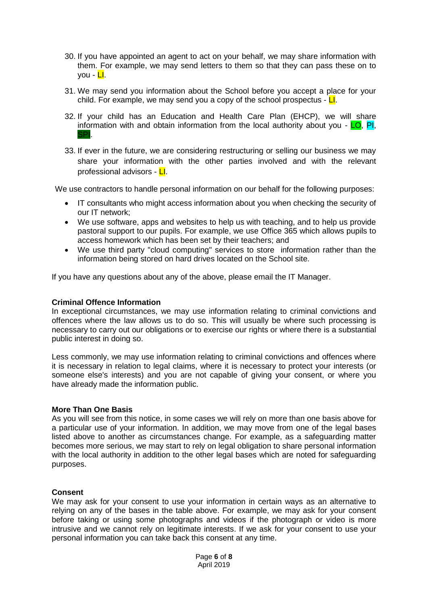- 30. If you have appointed an agent to act on your behalf, we may share information with them. For example, we may send letters to them so that they can pass these on to you - LI.
- 31. We may send you information about the School before you accept a place for your child. For example, we may send you a copy of the school prospectus -  $\Box$ .
- <span id="page-5-0"></span>32. If your child has an Education and Health Care Plan (EHCP), we will share information with and obtain information from the local authority about you -  $LO$ , PI, SPI.
- 33. If ever in the future, we are considering restructuring or selling our business we may share your information with the other parties involved and with the relevant professional advisors - LI.

We use contractors to handle personal information on our behalf for the following purposes:

- IT consultants who might access information about you when checking the security of our IT network;
- We use software, apps and websites to help us with teaching, and to help us provide pastoral support to our pupils. For example, we use Office 365 which allows pupils to access homework which has been set by their teachers; and
- We use third party "cloud computing" services to store information rather than the information being stored on hard drives located on the School site.

If you have any questions about any of the above, please email the IT Manager.

#### **Criminal Offence Information**

In exceptional circumstances, we may use information relating to criminal convictions and offences where the law allows us to do so. This will usually be where such processing is necessary to carry out our obligations or to exercise our rights or where there is a substantial public interest in doing so.

Less commonly, we may use information relating to criminal convictions and offences where it is necessary in relation to legal claims, where it is necessary to protect your interests (or someone else's interests) and you are not capable of giving your consent, or where you have already made the information public.

#### **More Than One Basis**

As you will see from this notice, in some cases we will rely on more than one basis above for a particular use of your information. In addition, we may move from one of the legal bases listed above to another as circumstances change. For example, as a safeguarding matter becomes more serious, we may start to rely on legal obligation to share personal information with the local authority in addition to the other legal bases which are noted for safeguarding purposes.

#### **Consent**

We may ask for your consent to use your information in certain ways as an alternative to relying on any of the bases in the table above. For example, we may ask for your consent before taking or using some photographs and videos if the photograph or video is more intrusive and we cannot rely on legitimate interests. If we ask for your consent to use your personal information you can take back this consent at any time.

> Page **6** of **8** April 2019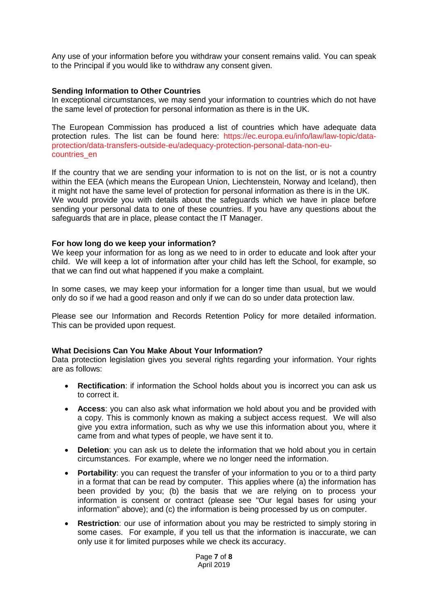Any use of your information before you withdraw your consent remains valid. You can speak to the Principal if you would like to withdraw any consent given.

### **Sending Information to Other Countries**

In exceptional circumstances, we may send your information to countries which do not have the same level of protection for personal information as there is in the UK.

The European Commission has produced a list of countries which have adequate data protection rules. The list can be found here: [https://ec.europa.eu/info/law/law-topic/data](https://ec.europa.eu/info/law/law-topic/data-protection/data-transfers-outside-eu/adequacy-protection-personal-data-non-eu-countries_en)[protection/data-transfers-outside-eu/adequacy-protection-personal-data-non-eu](https://ec.europa.eu/info/law/law-topic/data-protection/data-transfers-outside-eu/adequacy-protection-personal-data-non-eu-countries_en)[countries\\_en](https://ec.europa.eu/info/law/law-topic/data-protection/data-transfers-outside-eu/adequacy-protection-personal-data-non-eu-countries_en)

If the country that we are sending your information to is not on the list, or is not a country within the EEA (which means the European Union, Liechtenstein, Norway and Iceland), then it might not have the same level of protection for personal information as there is in the UK. We would provide you with details about the safeguards which we have in place before sending your personal data to one of these countries. If you have any questions about the safeguards that are in place, please contact the IT Manager.

#### **For how long do we keep your information?**

We keep your information for as long as we need to in order to educate and look after your child. We will keep a lot of information after your child has left the School, for example, so that we can find out what happened if you make a complaint.

In some cases, we may keep your information for a longer time than usual, but we would only do so if we had a good reason and only if we can do so under data protection law.

Please see our Information and Records Retention Policy for more detailed information. This can be provided upon request.

#### **What Decisions Can You Make About Your Information?**

Data protection legislation gives you several rights regarding your information. Your rights are as follows:

- **Rectification:** if information the School holds about you is incorrect you can ask us to correct it.
- **Access**: you can also ask what information we hold about you and be provided with a copy. This is commonly known as making a subject access request. We will also give you extra information, such as why we use this information about you, where it came from and what types of people, we have sent it to.
- **Deletion**: you can ask us to delete the information that we hold about you in certain circumstances. For example, where we no longer need the information.
- **Portability**: you can request the transfer of your information to you or to a third party in a format that can be read by computer. This applies where (a) the information has been provided by you; (b) the basis that we are relying on to process your information is consent or contract (please see "Our legal bases for using your information" above); and (c) the information is being processed by us on computer.
- **Restriction**: our use of information about you may be restricted to simply storing in some cases. For example, if you tell us that the information is inaccurate, we can only use it for limited purposes while we check its accuracy.